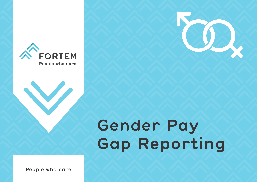



# **Gender Pay Gap Reporting**

**People who care**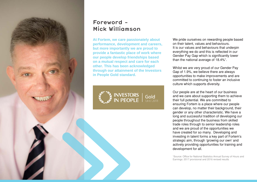

# **Foreword - Mick Williamson**

**At Fortem, we care passionately about performance, development and careers, but more importantly we are proud to provide a fantastic place of work where our people develop friendships based on a mutual respect and care for each other. This has been acknowledged through our attainment of the Investors in People Gold standard.** 



We pride ourselves on rewarding people based on their talent, values and behaviours. It is our values and behaviours that underpin everything we do and this is reflected in our Gender Pay Gap which is significantly lower than the national average of 18.4%<sup>1</sup>.

Whilst we are very proud of our Gender Pay Gap of 1.9%, we believe there are always opportunities to make improvements and are committed to continuing to foster an inclusive culture which supports diversity.

Our people are at the heart of our business and we care about supporting them to achieve their full potential. We are committed to ensuring Fortem is a place where our people can develop, no matter their background, their gender or any other characteristic. We have a long and successful tradition of developing our people throughout the business from skilled trade roles through to senior leadership roles and we are proud of the opportunities we have created for so many. Developing and investing in talent forms a key part of Fortem's strategic aim, through 'growing our own' and actively providing opportunities for training and development for all.

1 Source: Office for National Statistics Annual Survey of Hours and Earnings: 2017 provisional and 2016 revised results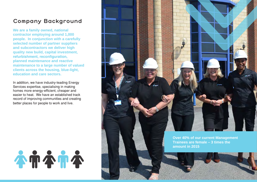# **Company Background**

**We are a family owned, national contractor employing around 1,000 people. In conjunction with a carefully selected number of partner suppliers and subcontractors we deliver high quality new build, capital investment, refurbishment, reconfiguration, planned maintenance and reactive maintenance to a large number of valued clients across the housing, blue-light, education and care sectors.**

In addition, we have industry-leading Energy Services expertise, specialising in making homes more energy-efficient, cheaper and easier to heat. We have an established track record of improving communities and creating better places for people to work and live.





**Over 40% of our current Management Trainees are female – 3 times the amount in 2015**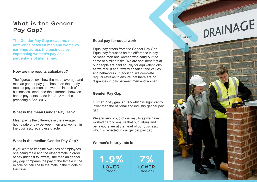# **What is the Gender Pay Gap?**

**The Gender Pay Gap measures the difference between men and women's earnings across the business by expressing women's pay as a percentage of men's pay.** 

#### **How are the results calculated?**

The figures below show the mean average and median gender pay gap, based on the hourly rates of pay for men and women in each of the businesses listed, and the difference between bonus payments made in the 12 months preceding 5 April 2017.

## **What is the mean Gender Pay Gap?**

Mean pay is the difference in the average hour's rate of pay between men and women in the business, regardless of role.

## **What is the median Gender Pay Gap?**

If you were to imagine two lines of employees, one being male and the other female in order of pay (highest to lowest), the median gender pay gap compares the pay of the female in the middle of their line to the male in the middle of their line.

#### **Equal pay for equal work**

Equal pay differs from the Gender Pay Gap. Equal pay focusses on the difference in pay between men and women who carry out the same or similar tasks. We are confident that all our people are paid equally for equivalent jobs, as we recruit and reward on talent and values and behaviours. In addition, we complete regular reviews to ensure that there are no disparities in pay between men and women.

# **Gender Pay Gap**

Our 2017 pay gap is 1.9% which is significantly lower than the national and industry gender pay gap.

We are very proud of our results as we have worked hard to ensure that our values and behaviours are at the heart of our business, which is reflected in our gender pay gap.

## **Women's hourly rate is**

**1.9% LOWER** (mean)

**7% LOWER** (median)





FORTEM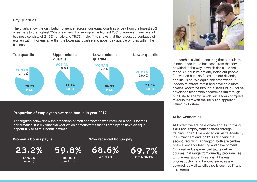# **Pay Quartiles**

The charts show the distribution of gender across four equal quartiles of pay from the lowest 25% of earners to the highest 25% of earners. For example the highest 25% of earners in our overall business consists of 21.3% female and 78.7% male. This shows that the largest percentages of women within Fortem fall within the lower pay quartile and upper pay quartile of roles within the business.



# **Proportion of employees awarded bonus in year 2017**

The firgures below show the proportion of men and women who received a bonus for their performance in 2017 financial year which demonstrates that all employees have an equal opportunity to earn a bonus payment.

#### **Women's bonus pay is**

**23.2%**

**LOWER** (mean)



**HIGHER** (median)

**Who received bonus pay**

**68.6% OF MEN**





Leadership is vital to ensuring that our culture is embedded in the business, from the service provided to the way in which decisions are made. Our culture not only helps our people feel valued but also feeds into our diversity and inclusion. We equip and empower our leaders to attract, retain and develop a more diverse workforce through a series of in - house developed leadership academies run through our 4Life Academy, which our leaders complete to equip them with the skills and approach valued by Fortem.

## **4Life Academies**

At Fortem we are passionate about improving skills and employment chances through training. In 2013 we opened our 4Life Academy in Birmingham and in 2018 are opening a second facility in Dinnington; both are centres of excellence for learning and development. Our qualified, experienced tutors deliver courses that range from one-day programmes to four-year apprenticeships. All areas of construction and building services are covered, as well as office skills such as IT and management.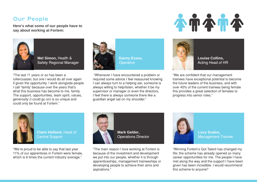# **Our People**

**Here's what some of our people have to say about working at Fortem:**



**Mel Simon,** Health & Safety Regional Manager

"The last 11 years or so has been a rollercoaster, but one I would do all over again if given the opportunity. I work alongside people I call 'family' because over the years that's what this business has become to me, family. The support, opportunities, team spirit, values, generosity (I could go on) is so unique and could only be found at Fortem."



"Whenever I have encountered a problem or

required some advice I feel reassured knowing I can always turn to a helping ear, someone is always willing to help/listen, whether it be my supervisor or manager or even the directors, I feel there is always someone there like a guardian angel sat on my shoulder."





**Louise Collins,**  Acting Head of HR

"We are confident that our management trainees have exceptional potential to become the future leaders of the business, and with over 40% of the current trainees being female this provides a great selection of females to progress into senior roles."



**Claire Holland,** Head of Central Support

"We're proud to be able to say that last year 11% of our apprentices in Fortem were female, which is 6 times the current industry average."



"The main reason I love working at Fortem is because of the investment and development we put into our people, whether it is through apprenticeships, management traineeships or developing people to achieve their aims and aspirations."



**Lucy Scales,**  Management Trainee

"Winning Fortem's Got Talent has changed my life; the scheme has already opened so many career opportunities for me. The people I have met along the way and the support I have been given has been incredible. I would recommend this scheme to anyone!"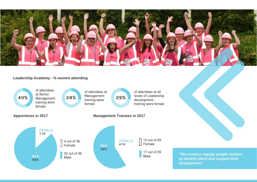

## **Leadership Academy - % women attending**





**"We conduct regular people reviews to identify talent and support their development"**